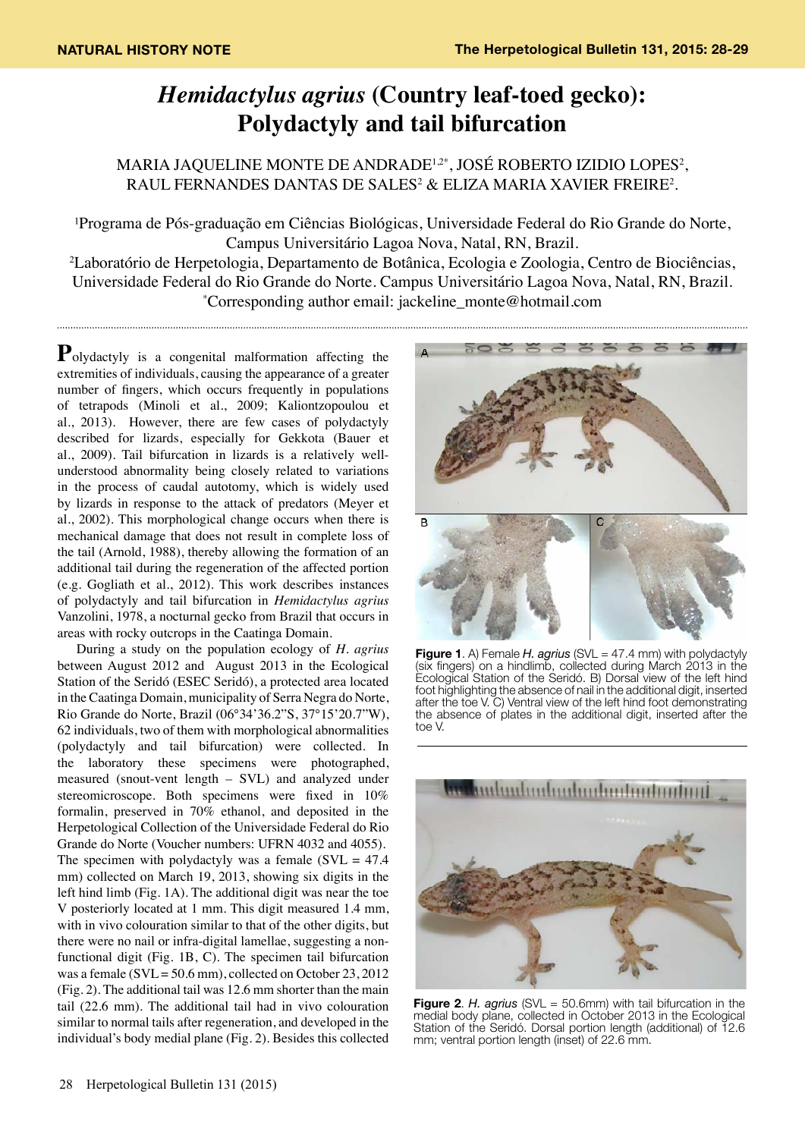## *Hemidactylus agrius* **(Country leaf-toed gecko): Polydactyly and tail bifurcation**

MARIA JAQUELINE MONTE DE ANDRADE1,2\*, JOSÉ ROBERTO IZIDIO LOPES<sup>2</sup> , RAUL FERNANDES DANTAS DE SALES<sup>2</sup> & ELIZA MARIA XAVIER FREIRE<sup>2</sup>.

<sup>1</sup>Programa de Pós-graduação em Ciências Biológicas, Universidade Federal do Rio Grande do Norte, Campus Universitário Lagoa Nova, Natal, RN, Brazil.

2 Laboratório de Herpetologia, Departamento de Botânica, Ecologia e Zoologia, Centro de Biociências, Universidade Federal do Rio Grande do Norte. Campus Universitário Lagoa Nova, Natal, RN, Brazil. \* Corresponding author email: jackeline\_monte@hotmail.com

**P**olydactyly is a congenital malformation affecting the extremities of individuals, causing the appearance of a greater number of fingers, which occurs frequently in populations of tetrapods (Minoli et al., 2009; Kaliontzopoulou et al., 2013). However, there are few cases of polydactyly described for lizards, especially for Gekkota (Bauer et al., 2009). Tail bifurcation in lizards is a relatively wellunderstood abnormality being closely related to variations in the process of caudal autotomy, which is widely used by lizards in response to the attack of predators (Meyer et al., 2002). This morphological change occurs when there is mechanical damage that does not result in complete loss of the tail (Arnold, 1988), thereby allowing the formation of an additional tail during the regeneration of the affected portion (e.g. Gogliath et al., 2012). This work describes instances of polydactyly and tail bifurcation in *Hemidactylus agrius* Vanzolini, 1978, a nocturnal gecko from Brazil that occurs in areas with rocky outcrops in the Caatinga Domain.

During a study on the population ecology of *H. agrius* between August 2012 and August 2013 in the Ecological Station of the Seridó (ESEC Seridó), a protected area located in the Caatinga Domain, municipality of Serra Negra do Norte, Rio Grande do Norte, Brazil (06°34'36.2"S, 37°15'20.7"W), 62 individuals, two of them with morphological abnormalities (polydactyly and tail bifurcation) were collected. In the laboratory these specimens were photographed, measured (snout-vent length – SVL) and analyzed under stereomicroscope. Both specimens were fixed in 10% formalin, preserved in 70% ethanol, and deposited in the Herpetological Collection of the Universidade Federal do Rio Grande do Norte (Voucher numbers: UFRN 4032 and 4055). The specimen with polydactyly was a female  $(SVL = 47.4$ mm) collected on March 19, 2013, showing six digits in the left hind limb (Fig. 1A). The additional digit was near the toe V posteriorly located at 1 mm. This digit measured 1.4 mm, with in vivo colouration similar to that of the other digits, but there were no nail or infra-digital lamellae, suggesting a nonfunctional digit (Fig. 1B, C). The specimen tail bifurcation was a female ( $SVL = 50.6$  mm), collected on October 23, 2012 (Fig. 2). The additional tail was 12.6 mm shorter than the main tail (22.6 mm). The additional tail had in vivo colouration similar to normal tails after regeneration, and developed in the individual's body medial plane (Fig. 2). Besides this collected



**Figure 1**. A) Female *H. agrius* (SVL = 47.4 mm) with polydactyly (six fingers) on a hindlimb, collected during March 2013 in the Ecological Station of the Seridó. B) Dorsal view of the left hind foot highlighting the absence of nail in the additional digit, inserted after the toe V. C) Ventral view of the left hind foot demonstrating the absence of plates in the additional digit, inserted after the toe V.



**Figure 2.** *H. agrius* (SVL = 50.6mm) with tail bifurcation in the medial body plane, collected in October 2013 in the Ecological Station of the Seridó. Dorsal portion length (additional) of 12.6 mm; ventral portion length (inset) of 22.6 mm.